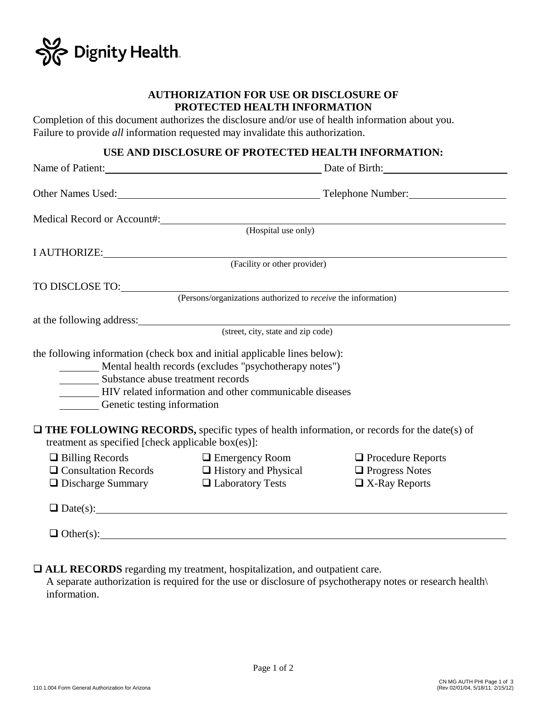

### **AUTHORIZATION FOR USE OR DISCLOSURE OF PROTECTED HEALTH INFORMATION**

Completion of this document authorizes the disclosure and/or use of health information about you. Failure to provide *all* information requested may invalidate this authorization.

## **USE AND DISCLOSURE OF PROTECTED HEALTH INFORMATION:**

|                                                                  |                                                                                                                                                                                                | Name of Patient: Date of Birth: Date of Birth:    |
|------------------------------------------------------------------|------------------------------------------------------------------------------------------------------------------------------------------------------------------------------------------------|---------------------------------------------------|
|                                                                  |                                                                                                                                                                                                |                                                   |
|                                                                  |                                                                                                                                                                                                |                                                   |
|                                                                  | Medical Record or Account#: (Hospital use only)                                                                                                                                                |                                                   |
|                                                                  |                                                                                                                                                                                                |                                                   |
|                                                                  | I AUTHORIZE: (Facility or other provider)                                                                                                                                                      |                                                   |
|                                                                  |                                                                                                                                                                                                |                                                   |
|                                                                  | TO DISCLOSE TO: (Persons/organizations authorized to <i>receive</i> the information)                                                                                                           |                                                   |
|                                                                  |                                                                                                                                                                                                |                                                   |
|                                                                  | at the following address: (street, city, state and zip code)                                                                                                                                   |                                                   |
| Substance abuse treatment records<br>Genetic testing information | the following information (check box and initial applicable lines below):<br>Mental health records (excludes "psychotherapy notes")<br>HIV related information and other communicable diseases |                                                   |
| treatment as specified [check applicable box(es)]:               | $\Box$ THE FOLLOWING RECORDS, specific types of health information, or records for the date(s) of                                                                                              |                                                   |
| $\Box$ Billing Records                                           | $\Box$ Emergency Room<br>$\Box$ Consultation Records $\Box$ History and Physical                                                                                                               | $\Box$ Procedure Reports<br>$\Box$ Progress Notes |
| $\Box$ Discharge Summary $\Box$ Laboratory Tests                 |                                                                                                                                                                                                | $\Box$ X-Ray Reports                              |
|                                                                  | $\Box$ Date(s):                                                                                                                                                                                |                                                   |
|                                                                  | $\Box$ Other(s):                                                                                                                                                                               |                                                   |

**ALL RECORDS** regarding my treatment, hospitalization, and outpatient care.

 A separate authorization is required for the use or disclosure of psychotherapy notes or research health\ information.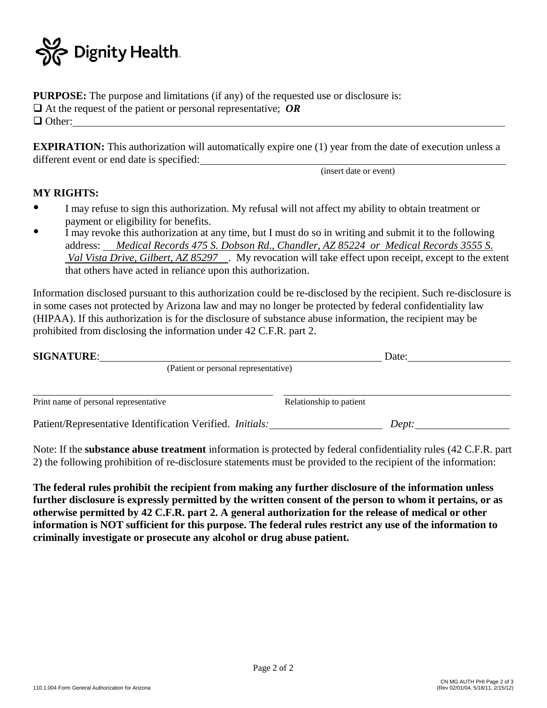

**PURPOSE:** The purpose and limitations (if any) of the requested use or disclosure is: At the request of the patient or personal representative; *OR* □ Other:

**EXPIRATION:** This authorization will automatically expire one (1) year from the date of execution unless a different event or end date is specified:

(insert date or event)

### **MY RIGHTS:**

- I may refuse to sign this authorization. My refusal will not affect my ability to obtain treatment or payment or eligibility for benefits.  $\bullet$
- I may revoke this authorization at any time, but I must do so in writing and submit it to the following address: *Medical Records 475 S. Dobson Rd., Chandler, AZ 85224 or Medical Records 3555 S. Val Vista Drive, Gilbert, AZ 85297* . My revocation will take effect upon receipt, except to the extent that others have acted in reliance upon this authorization.  $\bullet$

Information disclosed pursuant to this authorization could be re-disclosed by the recipient. Such re-disclosure is in some cases not protected by Arizona law and may no longer be protected by federal confidentiality law (HIPAA). If this authorization is for the disclosure of substance abuse information, the recipient may be prohibited from disclosing the information under 42 C.F.R. part 2.

| <b>SIGNATURE:</b>                                         | Date:                   |  |
|-----------------------------------------------------------|-------------------------|--|
| (Patient or personal representative)                      |                         |  |
|                                                           |                         |  |
| Print name of personal representative                     | Relationship to patient |  |
| Patient/Representative Identification Verified. Initials: | Dept:                   |  |

Note: If the **substance abuse treatment** information is protected by federal confidentiality rules (42 C.F.R. part 2) the following prohibition of re-disclosure statements must be provided to the recipient of the information:

**The federal rules prohibit the recipient from making any further disclosure of the information unless further disclosure is expressly permitted by the written consent of the person to whom it pertains, or as otherwise permitted by 42 C.F.R. part 2. A general authorization for the release of medical or other information is NOT sufficient for this purpose. The federal rules restrict any use of the information to criminally investigate or prosecute any alcohol or drug abuse patient.**